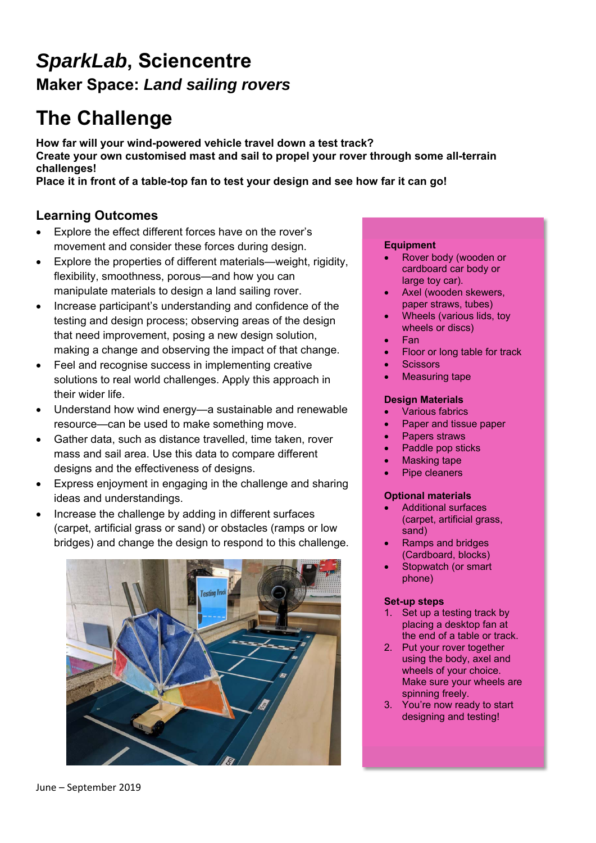## *SparkLab***, Sciencentre Maker Space:** *Land sailing rovers*

# **The Challenge**

**How far will your wind-powered vehicle travel down a test track? Create your own customised mast and sail to propel your rover through some all-terrain challenges!** 

**Place it in front of a table-top fan to test your design and see how far it can go!** 

## **Learning Outcomes**

- Explore the effect different forces have on the rover's movement and consider these forces during design.
- Explore the properties of different materials—weight, rigidity, flexibility, smoothness, porous—and how you can manipulate materials to design a land sailing rover.
- Increase participant's understanding and confidence of the testing and design process; observing areas of the design that need improvement, posing a new design solution, making a change and observing the impact of that change.
- Feel and recognise success in implementing creative solutions to real world challenges. Apply this approach in their wider life.
- Understand how wind energy—a sustainable and renewable resource—can be used to make something move.
- Gather data, such as distance travelled, time taken, rover mass and sail area. Use this data to compare different designs and the effectiveness of designs.
- Express enjoyment in engaging in the challenge and sharing ideas and understandings.
- Increase the challenge by adding in different surfaces (carpet, artificial grass or sand) or obstacles (ramps or low bridges) and change the design to respond to this challenge.



#### **Equipment**

- Rover body (wooden or cardboard car body or large toy car).
- Axel (wooden skewers, paper straws, tubes)
- Wheels (various lids, toy wheels or discs)
- Fan
- Floor or long table for track
- **Scissors**
- Measuring tape

### **Design Materials**

- Various fabrics
- Paper and tissue paper
- Papers straws
- Paddle pop sticks
- Masking tape
- Pipe cleaners

#### **Optional materials**

- Additional surfaces (carpet, artificial grass, sand)
- Ramps and bridges (Cardboard, blocks)
- Stopwatch (or smart phone)

#### **Set-up steps**

- 1. Set up a testing track by placing a desktop fan at the end of a table or track.
- 2. Put your rover together using the body, axel and wheels of your choice. Make sure your wheels are spinning freely.
- 3. You're now ready to start designing and testing!